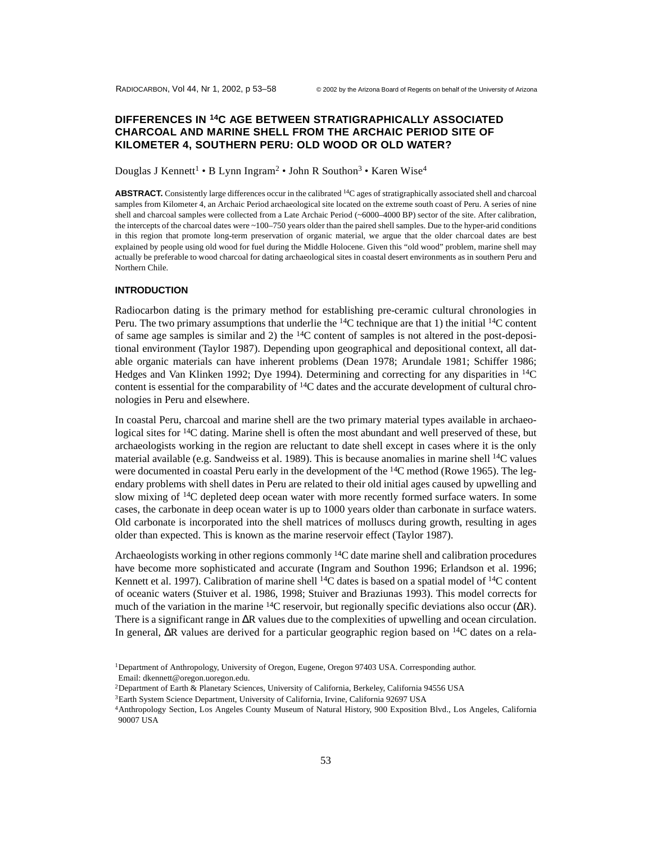# **DIFFERENCES IN 14C AGE BETWEEN STRATIGRAPHICALLY ASSOCIATED CHARCOAL AND MARINE SHELL FROM THE ARCHAIC PERIOD SITE OF KILOMETER 4, SOUTHERN PERU: OLD WOOD OR OLD WATER?**

Douglas J Kennett<sup>1</sup> • B Lynn Ingram<sup>2</sup> • John R Southon<sup>3</sup> • Karen Wise<sup>4</sup>

**ABSTRACT.** Consistently large differences occur in the calibrated 14C ages of stratigraphically associated shell and charcoal samples from Kilometer 4, an Archaic Period archaeological site located on the extreme south coast of Peru. A series of nine shell and charcoal samples were collected from a Late Archaic Period (~6000–4000 BP) sector of the site. After calibration, the intercepts of the charcoal dates were ~100–750 years older than the paired shell samples. Due to the hyper-arid conditions in this region that promote long-term preservation of organic material, we argue that the older charcoal dates are best explained by people using old wood for fuel during the Middle Holocene. Given this "old wood" problem, marine shell may actually be preferable to wood charcoal for dating archaeological sites in coastal desert environments as in southern Peru and Northern Chile.

## **INTRODUCTION**

Radiocarbon dating is the primary method for establishing pre-ceramic cultural chronologies in Peru. The two primary assumptions that underlie the <sup>14</sup>C technique are that 1) the initial <sup>14</sup>C content of same age samples is similar and 2) the  $14C$  content of samples is not altered in the post-depositional environment (Taylor 1987). Depending upon geographical and depositional context, all datable organic materials can have inherent problems (Dean 1978; Arundale 1981; Schiffer 1986; Hedges and Van Klinken 1992; Dye 1994). Determining and correcting for any disparities in  $^{14}C$ content is essential for the comparability of  $14C$  dates and the accurate development of cultural chronologies in Peru and elsewhere.

In coastal Peru, charcoal and marine shell are the two primary material types available in archaeological sites for 14C dating. Marine shell is often the most abundant and well preserved of these, but archaeologists working in the region are reluctant to date shell except in cases where it is the only material available (e.g. Sandweiss et al. 1989). This is because anomalies in marine shell <sup>14</sup>C values were documented in coastal Peru early in the development of the <sup>14</sup>C method (Rowe 1965). The legendary problems with shell dates in Peru are related to their old initial ages caused by upwelling and slow mixing of <sup>14</sup>C depleted deep ocean water with more recently formed surface waters. In some cases, the carbonate in deep ocean water is up to 1000 years older than carbonate in surface waters. Old carbonate is incorporated into the shell matrices of molluscs during growth, resulting in ages older than expected. This is known as the marine reservoir effect (Taylor 1987).

Archaeologists working in other regions commonly <sup>14</sup>C date marine shell and calibration procedures have become more sophisticated and accurate (Ingram and Southon 1996; Erlandson et al. 1996; Kennett et al. 1997). Calibration of marine shell <sup>14</sup>C dates is based on a spatial model of <sup>14</sup>C content of oceanic waters (Stuiver et al. 1986, 1998; Stuiver and Braziunas 1993). This model corrects for much of the variation in the marine  $14C$  reservoir, but regionally specific deviations also occur ( $\Delta R$ ). There is a significant range in ∆R values due to the complexities of upwelling and ocean circulation. In general, ∆R values are derived for a particular geographic region based on 14C dates on a rela-

<sup>&</sup>lt;sup>1</sup>Department of Anthropology, University of Oregon, Eugene, Oregon 97403 USA. Corresponding author. Email: dkennett@oregon.uoregon.edu.

<sup>2</sup>Department of Earth & Planetary Sciences, University of California, Berkeley, California 94556 USA

<sup>3</sup>Earth System Science Department, University of California, Irvine, California 92697 USA

<sup>4</sup>Anthropology Section, Los Angeles County Museum of Natural History, 900 Exposition Blvd., Los Angeles, California 90007 USA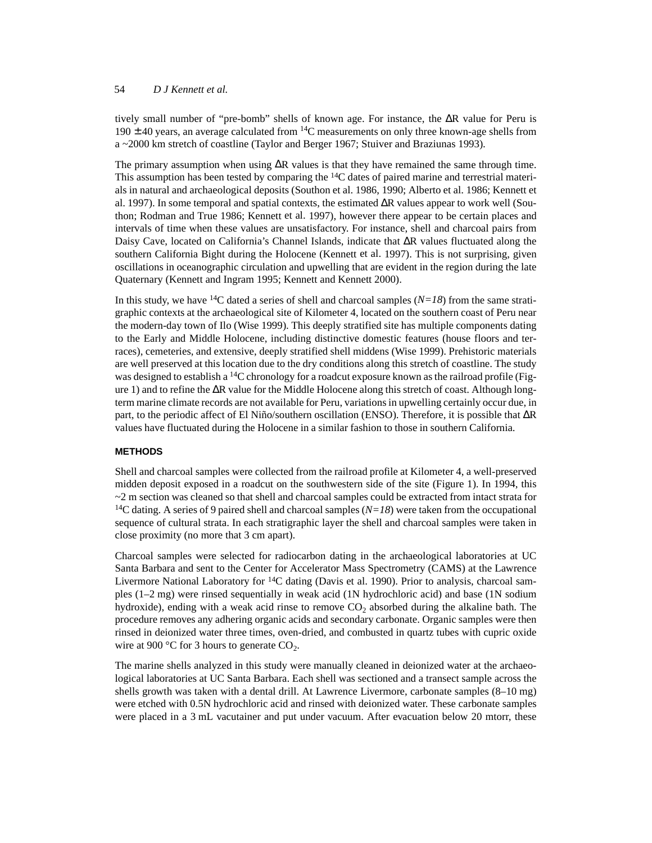## 54 *D J Kennett et al.*

tively small number of "pre-bomb" shells of known age. For instance, the ∆R value for Peru is 190  $\pm$  40 years, an average calculated from <sup>14</sup>C measurements on only three known-age shells from a ~2000 km stretch of coastline (Taylor and Berger 1967; Stuiver and Braziunas 1993).

The primary assumption when using ∆R values is that they have remained the same through time. This assumption has been tested by comparing the  $14C$  dates of paired marine and terrestrial materials in natural and archaeological deposits (Southon et al. 1986, 1990; Alberto et al. 1986; Kennett et al. 1997). In some temporal and spatial contexts, the estimated ∆R values appear to work well (Southon; Rodman and True 1986; Kennett et al. 1997), however there appear to be certain places and intervals of time when these values are unsatisfactory. For instance, shell and charcoal pairs from Daisy Cave, located on California's Channel Islands, indicate that ∆R values fluctuated along the southern California Bight during the Holocene (Kennett et al. 1997). This is not surprising, given oscillations in oceanographic circulation and upwelling that are evident in the region during the late Quaternary (Kennett and Ingram 1995; Kennett and Kennett 2000).

In this study, we have <sup>14</sup>C dated a series of shell and charcoal samples  $(N=18)$  from the same stratigraphic contexts at the archaeological site of Kilometer 4, located on the southern coast of Peru near the modern-day town of Ilo (Wise 1999). This deeply stratified site has multiple components dating to the Early and Middle Holocene, including distinctive domestic features (house floors and terraces), cemeteries, and extensive, deeply stratified shell middens (Wise 1999). Prehistoric materials are well preserved at this location due to the dry conditions along this stretch of coastline. The study was designed to establish a <sup>14</sup>C chronology for a roadcut exposure known as the railroad profile (Figure 1) and to refine the ∆R value for the Middle Holocene along this stretch of coast. Although longterm marine climate records are not available for Peru, variations in upwelling certainly occur due, in part, to the periodic affect of El Niño/southern oscillation (ENSO). Therefore, it is possible that ∆R values have fluctuated during the Holocene in a similar fashion to those in southern California.

# **METHODS**

Shell and charcoal samples were collected from the railroad profile at Kilometer 4, a well-preserved midden deposit exposed in a roadcut on the southwestern side of the site (Figure 1). In 1994, this  $\sim$ 2 m section was cleaned so that shell and charcoal samples could be extracted from intact strata for <sup>14</sup>C dating. A series of 9 paired shell and charcoal samples  $(N=18)$  were taken from the occupational sequence of cultural strata. In each stratigraphic layer the shell and charcoal samples were taken in close proximity (no more that 3 cm apart).

Charcoal samples were selected for radiocarbon dating in the archaeological laboratories at UC Santa Barbara and sent to the Center for Accelerator Mass Spectrometry (CAMS) at the Lawrence Livermore National Laboratory for  $^{14}C$  dating (Davis et al. 1990). Prior to analysis, charcoal samples (1–2 mg) were rinsed sequentially in weak acid (1N hydrochloric acid) and base (1N sodium hydroxide), ending with a weak acid rinse to remove  $CO<sub>2</sub>$  absorbed during the alkaline bath. The procedure removes any adhering organic acids and secondary carbonate. Organic samples were then rinsed in deionized water three times, oven-dried, and combusted in quartz tubes with cupric oxide wire at 900  $^{\circ}$ C for 3 hours to generate CO<sub>2</sub>.

The marine shells analyzed in this study were manually cleaned in deionized water at the archaeological laboratories at UC Santa Barbara. Each shell was sectioned and a transect sample across the shells growth was taken with a dental drill. At Lawrence Livermore, carbonate samples (8–10 mg) were etched with 0.5N hydrochloric acid and rinsed with deionized water. These carbonate samples were placed in a 3 mL vacutainer and put under vacuum. After evacuation below 20 mtorr, these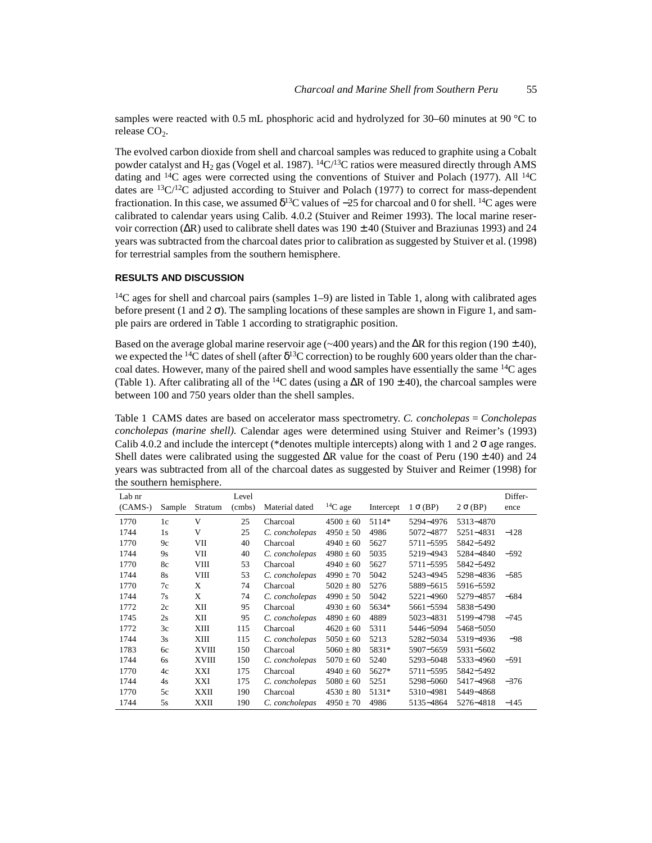samples were reacted with 0.5 mL phosphoric acid and hydrolyzed for 30–60 minutes at 90 °C to release  $CO<sub>2</sub>$ .

The evolved carbon dioxide from shell and charcoal samples was reduced to graphite using a Cobalt powder catalyst and  $H_2$  gas (Vogel et al. 1987). <sup>14</sup>C/<sup>13</sup>C ratios were measured directly through AMS dating and  $^{14}$ C ages were corrected using the conventions of Stuiver and Polach (1977). All  $^{14}$ C dates are  ${}^{13}C/{}^{12}C$  adjusted according to Stuiver and Polach (1977) to correct for mass-dependent fractionation. In this case, we assumed  $\delta^{13}C$  values of  $-25$  for charcoal and 0 for shell. <sup>14</sup>C ages were calibrated to calendar years using Calib. 4.0.2 (Stuiver and Reimer 1993). The local marine reservoir correction (∆R) used to calibrate shell dates was 190 ± 40 (Stuiver and Braziunas 1993) and 24 years was subtracted from the charcoal dates prior to calibration as suggested by Stuiver et al. (1998) for terrestrial samples from the southern hemisphere.

#### **RESULTS AND DISCUSSION**

 $14C$  ages for shell and charcoal pairs (samples 1–9) are listed in Table 1, along with calibrated ages before present (1 and  $2 \sigma$ ). The sampling locations of these samples are shown in Figure 1, and sample pairs are ordered in Table 1 according to stratigraphic position.

Based on the average global marine reservoir age ( $\sim$ 400 years) and the ∆R for this region (190 ± 40), we expected the <sup>14</sup>C dates of shell (after  $\delta^{13}$ C correction) to be roughly 600 years older than the charcoal dates. However, many of the paired shell and wood samples have essentially the same <sup>14</sup>C ages (Table 1). After calibrating all of the <sup>14</sup>C dates (using a  $\Delta R$  of 190 ± 40), the charcoal samples were between 100 and 750 years older than the shell samples.

Table 1 CAMS dates are based on accelerator mass spectrometry. *C. concholepas* = *Concholepas concholepas (marine shell).* Calendar ages were determined using Stuiver and Reimer's (1993) Calib 4.0.2 and include the intercept (\*denotes multiple intercepts) along with 1 and 2  $\sigma$  age ranges. Shell dates were calibrated using the suggested  $\Delta R$  value for the coast of Peru (190 ± 40) and 24 years was subtracted from all of the charcoal dates as suggested by Stuiver and Reimer (1998) for the southern hemisphere.

| Lab nr<br>$(CAMS-)$ | Sample    | ж<br>Stratum | Level<br>(cmbs) | Material dated | $14C$ age     | Intercept | $1 \sigma$ (BP) | $2 \sigma (BP)$ | Differ-<br>ence |
|---------------------|-----------|--------------|-----------------|----------------|---------------|-----------|-----------------|-----------------|-----------------|
| 1770                | 1c        | V            | 25              | Charcoal       | $4500 \pm 60$ | 5114*     | 5294-4976       | 5313-4870       |                 |
| 1744                | 1s        | V            | 25              | C. concholepas | $4950 \pm 50$ | 4986      | 5072-4877       | 5251-4831       | $-128$          |
| 1770                | 9c        | VII          | 40              | Charcoal       | $4940 \pm 60$ | 5627      | 5711-5595       | 5842-5492       |                 |
| 1744                | 9s        | VII          | 40              | C. concholepas | $4980 \pm 60$ | 5035      | 5219-4943       | 5284-4840       | $-592$          |
| 1770                | 8c        | VIII         | 53              | Charcoal       | $4940 \pm 60$ | 5627      | 5711-5595       | 5842-5492       |                 |
| 1744                | <b>8s</b> | VIII         | 53              | C. concholepas | $4990 \pm 70$ | 5042      | 5243-4945       | 5298-4836       | $-585$          |
| 1770                | 7c        | X            | 74              | Charcoal       | $5020 \pm 80$ | 5276      | 5889-5615       | 5916-5592       |                 |
| 1744                | 7s        | X            | 74              | C. concholepas | $4990 \pm 50$ | 5042      | 5221-4960       | 5279-4857       | $-684$          |
| 1772                | 2c        | XІІ          | 95              | Charcoal       | $4930 \pm 60$ | 5634*     | 5661-5594       | 5838-5490       |                 |
| 1745                | 2s        | XII          | 95              | C. concholepas | $4890 \pm 60$ | 4889      | 5023-4831       | 5199-4798       | $-745$          |
| 1772                | 3c        | XIII         | 115             | Charcoal       | $4620 \pm 60$ | 5311      | 5446-5094       | 5468-5050       |                 |
| 1744                | 3s        | XIII         | 115             | C. concholepas | $5050 \pm 60$ | 5213      | 5282-5034       | 5319-4936       | $-98$           |
| 1783                | 6c        | XVIII        | 150             | Charcoal       | $5060 \pm 80$ | 5831*     | 5907-5659       | 5931-5602       |                 |
| 1744                | 6s        | XVIII        | 150             | C. concholepas | $5070 \pm 60$ | 5240      | 5293-5048       | 5333-4960       | $-591$          |
| 1770                | 4c        | XXI          | 175             | Charcoal       | $4940 \pm 60$ | 5627*     | 5711-5595       | 5842-5492       |                 |
| 1744                | 4s        | XXI          | 175             | C. concholepas | $5080 \pm 60$ | 5251      | 5298-5060       | 5417-4968       | $-376$          |
| 1770                | 5c        | XXII         | 190             | Charcoal       | $4530 \pm 80$ | 5131*     | 5310-4981       | 5449-4868       |                 |
| 1744                | 5s        | XXII         | 190             | C. concholepas | $4950 \pm 70$ | 4986      | 5135-4864       | 5276-4818       | $-145$          |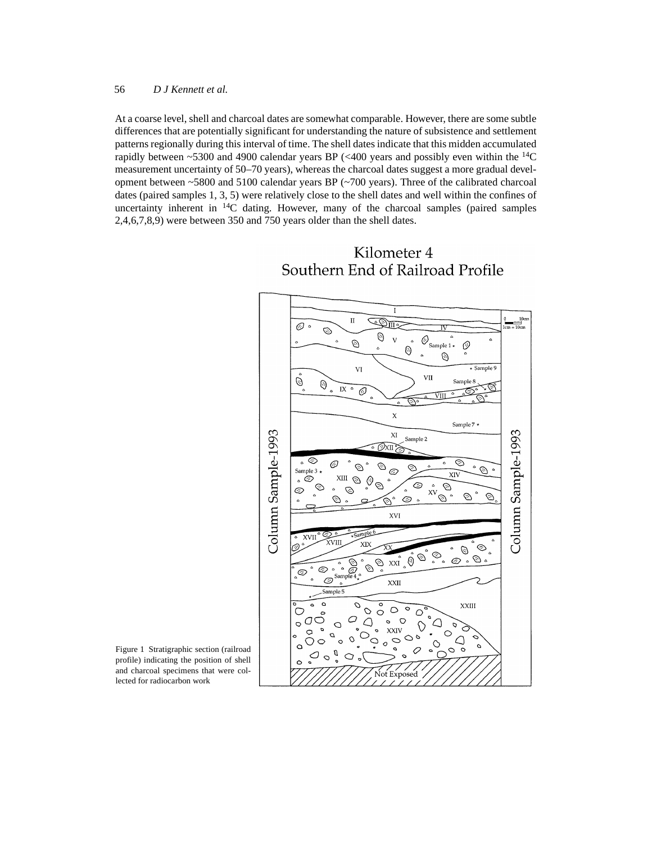#### 56 *D J Kennett et al.*

At a coarse level, shell and charcoal dates are somewhat comparable. However, there are some subtle differences that are potentially significant for understanding the nature of subsistence and settlement patterns regionally during this interval of time. The shell dates indicate that this midden accumulated rapidly between  $\sim$  5300 and 4900 calendar years BP ( $\lt$  400 years and possibly even within the <sup>14</sup>C measurement uncertainty of 50–70 years), whereas the charcoal dates suggest a more gradual development between ~5800 and 5100 calendar years BP (~700 years). Three of the calibrated charcoal dates (paired samples 1, 3, 5) were relatively close to the shell dates and well within the confines of uncertainty inherent in  $^{14}C$  dating. However, many of the charcoal samples (paired samples 2,4,6,7,8,9) were between 350 and 750 years older than the shell dates.



# Kilometer 4 Southern End of Railroad Profile

Figure 1 Stratigraphic section (railroad profile) indicating the position of shell and charcoal specimens that were collected for radiocarbon work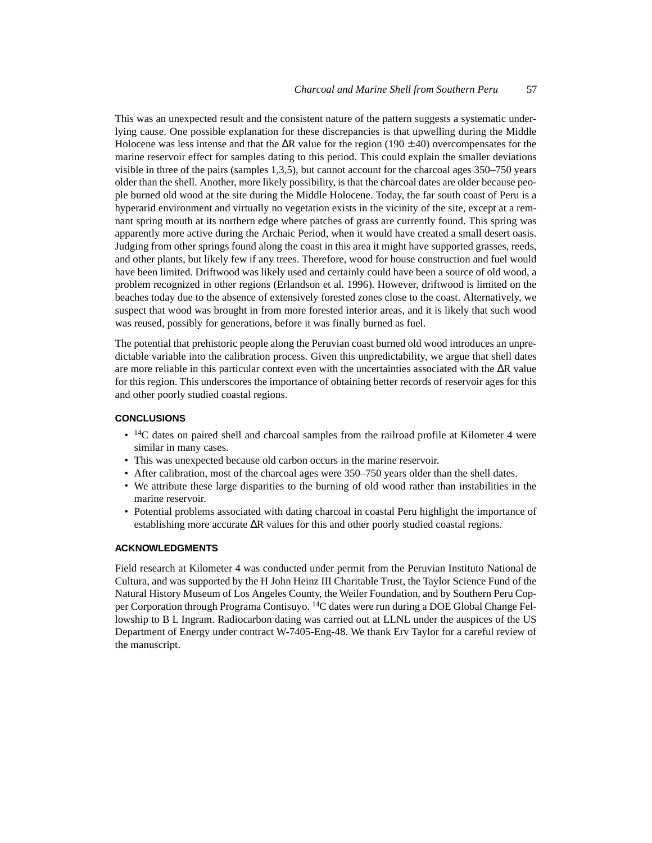This was an unexpected result and the consistent nature of the pattern suggests a systematic underlying cause. One possible explanation for these discrepancies is that upwelling during the Middle Holocene was less intense and that the  $\Delta R$  value for the region (190 ± 40) overcompensates for the marine reservoir effect for samples dating to this period. This could explain the smaller deviations visible in three of the pairs (samples 1,3,5), but cannot account for the charcoal ages 350–750 years older than the shell. Another, more likely possibility, is that the charcoal dates are older because people burned old wood at the site during the Middle Holocene. Today, the far south coast of Peru is a hyperarid environment and virtually no vegetation exists in the vicinity of the site, except at a remnant spring mouth at its northern edge where patches of grass are currently found. This spring was apparently more active during the Archaic Period, when it would have created a small desert oasis. Judging from other springs found along the coast in this area it might have supported grasses, reeds, and other plants, but likely few if any trees. Therefore, wood for house construction and fuel would have been limited. Driftwood was likely used and certainly could have been a source of old wood, a problem recognized in other regions (Erlandson et al. 1996). However, driftwood is limited on the beaches today due to the absence of extensively forested zones close to the coast. Alternatively, we suspect that wood was brought in from more forested interior areas, and it is likely that such wood was reused, possibly for generations, before it was finally burned as fuel.

The potential that prehistoric people along the Peruvian coast burned old wood introduces an unpredictable variable into the calibration process. Given this unpredictability, we argue that shell dates are more reliable in this particular context even with the uncertainties associated with the ∆R value for this region. This underscores the importance of obtaining better records of reservoir ages for this and other poorly studied coastal regions.

# **CONCLUSIONS**

- <sup>14</sup>C dates on paired shell and charcoal samples from the railroad profile at Kilometer 4 were similar in many cases.
- This was unexpected because old carbon occurs in the marine reservoir.
- After calibration, most of the charcoal ages were 350–750 years older than the shell dates.
- We attribute these large disparities to the burning of old wood rather than instabilities in the marine reservoir.
- Potential problems associated with dating charcoal in coastal Peru highlight the importance of establishing more accurate ∆R values for this and other poorly studied coastal regions.

#### **ACKNOWLEDGMENTS**

Field research at Kilometer 4 was conducted under permit from the Peruvian Instituto National de Cultura, and was supported by the H John Heinz III Charitable Trust, the Taylor Science Fund of the Natural History Museum of Los Angeles County, the Weiler Foundation, and by Southern Peru Copper Corporation through Programa Contisuyo. 14C dates were run during a DOE Global Change Fellowship to B L Ingram. Radiocarbon dating was carried out at LLNL under the auspices of the US Department of Energy under contract W-7405-Eng-48. We thank Erv Taylor for a careful review of the manuscript.